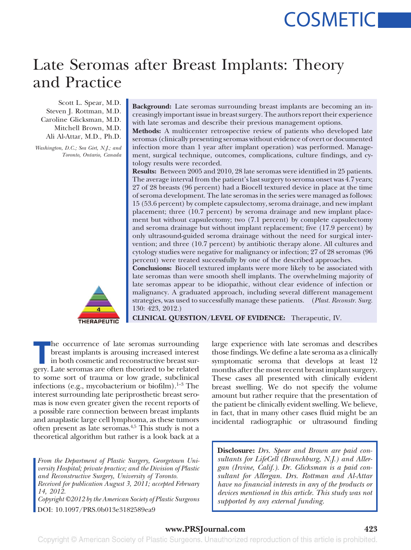# **COSMETICI**

## Late Seromas after Breast Implants: Theory and Practice

Scott L. Spear, M.D. Steven J. Rottman, M.D. Caroline Glicksman, M.D. Mitchell Brown, M.D. Ali Al-Attar, M.D., Ph.D.

*Washington, D.C.; Sea Girt, N.J.; and Toronto, Ontario, Canada* **Background:** Late seromas surrounding breast implants are becoming an increasingly important issue in breast surgery. The authors report their experience with late seromas and describe their previous management options.

**Methods:** A multicenter retrospective review of patients who developed late seromas (clinically presenting seromas without evidence of overt or documented infection more than 1 year after implant operation) was performed. Management, surgical technique, outcomes, complications, culture findings, and cytology results were recorded.

**Results:** Between 2005 and 2010, 28 late seromas were identified in 25 patients. The average interval from the patient's last surgery to seroma onset was 4.7 years; 27 of 28 breasts (96 percent) had a Biocell textured device in place at the time of seroma development. The late seromas in the series were managed as follows: 15 (53.6 percent) by complete capsulectomy, seroma drainage, and new implant placement; three (10.7 percent) by seroma drainage and new implant placement but without capsulectomy; two (7.1 percent) by complete capsulectomy and seroma drainage but without implant replacement; five (17.9 percent) by only ultrasound-guided seroma drainage without the need for surgical intervention; and three (10.7 percent) by antibiotic therapy alone. All cultures and cytology studies were negative for malignancy or infection; 27 of 28 seromas (96 percent) were treated successfully by one of the described approaches.

**Conclusions:** Biocell textured implants were more likely to be associated with late seromas than were smooth shell implants. The overwhelming majority of late seromas appear to be idiopathic, without clear evidence of infection or malignancy. A graduated approach, including several different management strategies, was used to successfully manage these patients. (*Plast. Reconstr. Surg.* 130: 423, 2012.)



**CLINICAL QUESTION/LEVEL OF EVIDENCE:** Therapeutic, IV.

The occurrence of late seromas surrounding<br>breast implants is arousing increased interest<br>in both cosmetic and reconstructive breast sur-<br>gery. Late seromas are often theorized to be related he occurrence of late seromas surrounding breast implants is arousing increased interest in both cosmetic and reconstructive breast surto some sort of trauma or low grade, subclinical infections (e.g., mycobacterium or biofilm). $1-3$  The interest surrounding late periprosthetic breast seromas is now even greater given the recent reports of a possible rare connection between breast implants and anaplastic large cell lymphoma, as these tumors often present as late seromas.4,5 This study is not a theoretical algorithm but rather is a look back at a

*From the Department of Plastic Surgery, Georgetown University Hospital; private practice; and the Division of Plastic and Reconstructive Surgery, University of Toronto. Received for publication August 3, 2011; accepted February 14, 2012.*

*Copyright ©2012 by the American Society of Plastic Surgeons* DOI: 10.1097/PRS.0b013e3182589ea9

large experience with late seromas and describes those findings. We define a late seroma as a clinically symptomatic seroma that develops at least 12 months after the most recent breast implant surgery. These cases all presented with clinically evident breast swelling. We do not specify the volume amount but rather require that the presentation of the patient be clinically evident swelling. We believe, in fact, that in many other cases fluid might be an incidental radiographic or ultrasound finding

**Disclosure:** *Drs. Spear and Brown are paid consultants for LifeCell (Branchburg, N.J.) and Allergan (Irvine, Calif.). Dr. Glicksman is a paid consultant for Allergan. Drs. Rottman and Al-Attar have no financial interests in any of the products or devices mentioned in this article. This study was not supported by any external funding.*

Copyright © American Society of Plastic Surgeons. Unauthorized reproduction of this article is prohibited.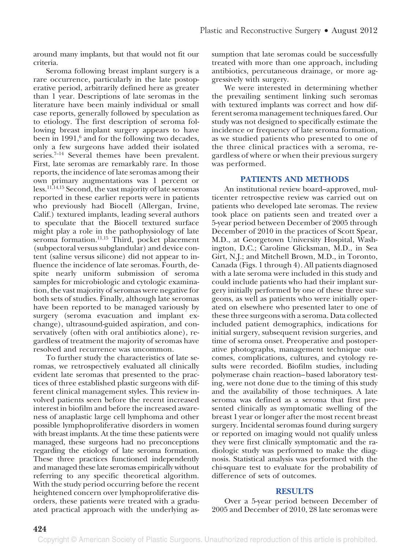around many implants, but that would not fit our criteria.

Seroma following breast implant surgery is a rare occurrence, particularly in the late postoperative period, arbitrarily defined here as greater than 1 year. Descriptions of late seromas in the literature have been mainly individual or small case reports, generally followed by speculation as to etiology. The first description of seroma following breast implant surgery appears to have been in 1991, $6$  and for the following two decades, only a few surgeons have added their isolated series.7–14 Several themes have been prevalent. First, late seromas are remarkably rare. In those reports, the incidence of late seromas among their own primary augmentations was 1 percent or less.11,14,15 Second, the vast majority of late seromas reported in these earlier reports were in patients who previously had Biocell (Allergan, Irvine, Calif.) textured implants, leading several authors to speculate that the Biocell textured surface might play a role in the pathophysiology of late seroma formation.<sup>11,15</sup> Third, pocket placement (subpectoral versus subglandular) and device content (saline versus silicone) did not appear to influence the incidence of late seromas. Fourth, despite nearly uniform submission of seroma samples for microbiologic and cytologic examination, the vast majority of seromas were negative for both sets of studies. Finally, although late seromas have been reported to be managed variously by surgery (seroma evacuation and implant exchange), ultrasound-guided aspiration, and conservatively (often with oral antibiotics alone), regardless of treatment the majority of seromas have resolved and recurrence was uncommon.

To further study the characteristics of late seromas, we retrospectively evaluated all clinically evident late seromas that presented to the practices of three established plastic surgeons with different clinical management styles. This review involved patients seen before the recent increased interest in biofilm and before the increased awareness of anaplastic large cell lymphoma and other possible lymphoproliferative disorders in women with breast implants. At the time these patients were managed, these surgeons had no preconceptions regarding the etiology of late seroma formation. These three practices functioned independently and managed these late seromas empirically without referring to any specific theoretical algorithm. With the study period occurring before the recent heightened concern over lymphoproliferative disorders, these patients were treated with a graduated practical approach with the underlying assumption that late seromas could be successfully treated with more than one approach, including antibiotics, percutaneous drainage, or more aggressively with surgery.

We were interested in determining whether the prevailing sentiment linking such seromas with textured implants was correct and how different seroma management techniques fared. Our study was not designed to specifically estimate the incidence or frequency of late seroma formation, as we studied patients who presented to one of the three clinical practices with a seroma, regardless of where or when their previous surgery was performed.

#### **PATIENTS AND METHODS**

An institutional review board–approved, multicenter retrospective review was carried out on patients who developed late seromas. The review took place on patients seen and treated over a 5-year period between December of 2005 through December of 2010 in the practices of Scott Spear, M.D., at Georgetown University Hospital, Washington, D.C.; Caroline Glicksman, M.D., in Sea Girt, N.J.; and Mitchell Brown, M.D., in Toronto, Canada (Figs. 1 through 4). All patients diagnosed with a late seroma were included in this study and could include patients who had their implant surgery initially performed by one of these three surgeons, as well as patients who were initially operated on elsewhere who presented later to one of these three surgeons with a seroma. Data collected included patient demographics, indications for initial surgery, subsequent revision surgeries, and time of seroma onset. Preoperative and postoperative photographs, management technique outcomes, complications, cultures, and cytology results were recorded. Biofilm studies, including polymerase chain reaction– based laboratory testing, were not done due to the timing of this study and the availability of those techniques. A late seroma was defined as a seroma that first presented clinically as symptomatic swelling of the breast 1 year or longer after the most recent breast surgery. Incidental seromas found during surgery or reported on imaging would not qualify unless they were first clinically symptomatic and the radiologic study was performed to make the diagnosis. Statistical analysis was performed with the chi-square test to evaluate for the probability of difference of sets of outcomes.

#### **RESULTS**

Over a 5-year period between December of 2005 and December of 2010, 28 late seromas were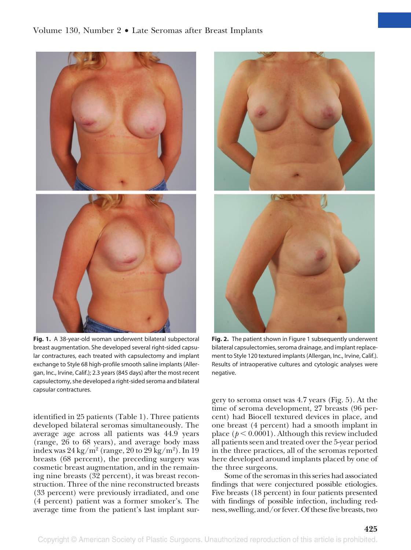

**Fig. 1.** A 38-year-old woman underwent bilateral subpectoral breast augmentation. She developed several right-sided capsular contractures, each treated with capsulectomy and implant exchange to Style 68 high-profile smooth saline implants (Allergan, Inc., Irvine, Calif.); 2.3 years (845 days) after the most recent capsulectomy, she developed a right-sided seroma and bilateral capsular contractures.

identified in 25 patients (Table 1). Three patients developed bilateral seromas simultaneously. The average age across all patients was 44.9 years (range, 26 to 68 years), and average body mass index was  $24$  kg/m $^2$  (range,  $20$  to  $29$  kg/m $^2$ ). In  $19$ breasts (68 percent), the preceding surgery was cosmetic breast augmentation, and in the remaining nine breasts (32 percent), it was breast reconstruction. Three of the nine reconstructed breasts (33 percent) were previously irradiated, and one (4 percent) patient was a former smoker's. The average time from the patient's last implant sur-



**Fig. 2.** The patient shown in Figure 1 subsequently underwent bilateral capsulectomies, seroma drainage, and implant replacement to Style 120 textured implants (Allergan, Inc., Irvine, Calif.). Results of intraoperative cultures and cytologic analyses were negative.

gery to seroma onset was 4.7 years (Fig. 5). At the time of seroma development, 27 breasts (96 percent) had Biocell textured devices in place, and one breast (4 percent) had a smooth implant in place  $(p < 0.0001)$ . Although this review included all patients seen and treated over the 5-year period in the three practices, all of the seromas reported here developed around implants placed by one of the three surgeons.

Some of the seromas in this series had associated findings that were conjectured possible etiologies. Five breasts (18 percent) in four patients presented with findings of possible infection, including redness, swelling, and/or fever. Of these five breasts, two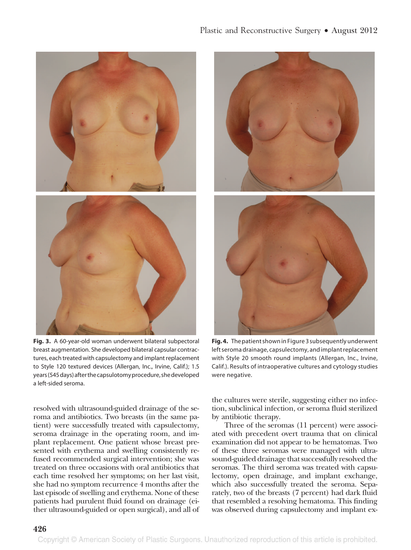

**Fig. 3.** A 60-year-old woman underwent bilateral subpectoral breast augmentation. She developed bilateral capsular contractures, each treated with capsulectomy and implant replacement to Style 120 textured devices (Allergan, Inc., Irvine, Calif.); 1.5 years(545days)after thecapsulotomyprocedure, shedeveloped a left-sided seroma.

resolved with ultrasound-guided drainage of the seroma and antibiotics. Two breasts (in the same patient) were successfully treated with capsulectomy, seroma drainage in the operating room, and implant replacement. One patient whose breast presented with erythema and swelling consistently refused recommended surgical intervention; she was treated on three occasions with oral antibiotics that each time resolved her symptoms; on her last visit, she had no symptom recurrence 4 months after the last episode of swelling and erythema. None of these patients had purulent fluid found on drainage (either ultrasound-guided or open surgical), and all of



**Fig. 4.** The patient shown in Figure 3 subsequently underwent left seroma drainage, capsulectomy,and implant replacement with Style 20 smooth round implants (Allergan, Inc., Irvine, Calif.). Results of intraoperative cultures and cytology studies were negative.

the cultures were sterile, suggesting either no infection, subclinical infection, or seroma fluid sterilized by antibiotic therapy.

Three of the seromas (11 percent) were associated with precedent overt trauma that on clinical examination did not appear to be hematomas. Two of these three seromas were managed with ultrasound-guided drainage that successfully resolved the seromas. The third seroma was treated with capsulectomy, open drainage, and implant exchange, which also successfully treated the seroma. Separately, two of the breasts (7 percent) had dark fluid that resembled a resolving hematoma. This finding was observed during capsulectomy and implant ex-

Copyright © American Society of Plastic Surgeons. Unauthorized reproduction of this article is prohibited.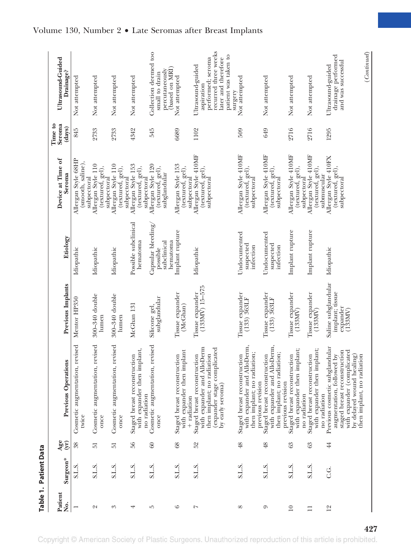| Patient<br>,<br>Š | Surgeon* | <b>Age</b><br>(yr) | Previous Operations                                                                                                                                                                  | Previous Implants                                             | Etiology                                                  | Device at Time of<br>Seroma                             | Time to<br>Seroma<br>(days) | Ultrasound-Guided<br>Drainage?                                                                                                         |
|-------------------|----------|--------------------|--------------------------------------------------------------------------------------------------------------------------------------------------------------------------------------|---------------------------------------------------------------|-----------------------------------------------------------|---------------------------------------------------------|-----------------------------|----------------------------------------------------------------------------------------------------------------------------------------|
| $\overline{ }$    | S.L.S.   | 38                 | revised<br>Cosmetic augmentation,<br>twice                                                                                                                                           | Mentor HP350                                                  | Idiopathic                                                | Allergan Style 68HP<br>(smooth, saline),<br>subpectoral | 845                         | Not attempted                                                                                                                          |
| N                 | S.L.S.   | $\overline{51}$    | revised<br>Cosmetic augmentation,<br>once                                                                                                                                            | 300-340 double<br>lumen                                       | Idiopathic                                                | Allergan Style 110<br>(textured, gel),<br>subpectoral   | 2733                        | Not attempted                                                                                                                          |
| 8                 | S.L.S.   | $\overline{5}$     | revised<br>Cosmetic augmentation,<br>once                                                                                                                                            | 300-340 double<br>lumen                                       | Idiopathic                                                | Allergan Style 110<br>(textured, gel),<br>subpectoral   | 2733                        | Not attempted                                                                                                                          |
| 4                 | S.L.S.   | 56                 | with expander then implant,<br>Staged breast reconstruction<br>no radiation                                                                                                          | McGhan 131                                                    | Possible subclinical<br>hematoma                          | Allergan Style 153<br>(textured, gel),<br>subpectoral   | 4342                        | Not attempted                                                                                                                          |
| 5                 | S.L.S.   | 60                 | revised<br>Cosmetic augmentation,<br>once                                                                                                                                            | subglandular<br>Silicone gel,                                 | Capsular bleeding,<br>hematoma<br>subclinical<br>possible | Allergan Style 120<br>(textured, gel),<br>subglandular  | 545                         | Collection deemed too<br>(based on MRI)<br>percutaneously<br>small to drain                                                            |
| $\circ$           | S.L.S.   | 68                 | with expander then implant<br>Staged breast reconstruction<br>+ radiation                                                                                                            | Tissue expander<br>(McGhán)                                   | Implant rupture                                           | Allergan Style 153<br>(textured, gel),<br>subpectoral   | 6689                        | Not attempted                                                                                                                          |
| 7                 | S.L.S.   | 52                 | with expander and AlloDerm<br>(expander stage complicated<br>then implant; no radiation<br>Staged breast reconstruction<br>by early seroma)                                          | $(133MV) 15 - 575$<br>Tissue expander                         | Idiopathic                                                | Allergan Style 410MF<br>(textured, gel),<br>subpectoral | 1102                        | recurred three weeks<br>patient was taken to<br>later and therefore<br>performed; seroma<br>Ultrasound-guided<br>aspiration<br>surgery |
| $^{\circ}$        | S.L.S.   | 48                 | with expander and AlloDerm,<br>then implant; no radiation;<br>Staged breast reconstruction<br>previous revision                                                                      | Tissue expander<br>(133) 363LF                                | Undocumented<br>suspected<br>infection                    | Allergan Style 410MF<br>(textured, gel),<br>subpectoral | 50 <sub>5</sub>             | Not attempted                                                                                                                          |
| G                 | S.L.S.   | 48                 | with expander and AlloDerm,<br>then implant; no radiation;<br>Staged breast reconstruction<br>previous revision                                                                      | ${\rm Tissue \; expenditure}{(133) \;\; 363 \rm LF}$          | Undocumented<br>suspected<br>infection                    | Allergan Style 410MF<br>(textured, gel),<br>subpectoral | 649                         | Not attempted                                                                                                                          |
| $\equiv$          | S.L.S.   | 63                 | with expander then implant;<br>Staged breast reconstruction<br>no radiation                                                                                                          | ${\rm Tissue \; expenditure}{(133 {\rm MV})}$                 | Implant rupture                                           | Allergan Style 410MF<br>(textured, gel),<br>subpectoral | 2716                        | Not attempted                                                                                                                          |
| $\Box$            | S.L.S.   | 63                 | with expander then implant;<br>Staged breast reconstruction<br>no radiation                                                                                                          | ${\rm Tissue \; expenditure}{(133 {\rm MV})}$                 | Implant rupture                                           | Allergan Style 410MF<br>(textured, gel),<br>submuscular | 2716                        | Not attempted                                                                                                                          |
| $^{12}$           | C.<br>C. | 44                 | Previous cosmetic subglandular<br>staged breast reconstruction<br>with expander (complicated<br>augmentation, followed by<br>by delayed wound healing)<br>then implant, no radiation | Saline subglandular<br>implant; tissue<br>expander<br>(133MN) | Idiopathic                                                | Allergan Style 410FX<br>(textured, gel),<br>subpectoral | 1295                        | drainage performed<br>and was successful<br>Ultrasound-guided                                                                          |

### Volume 130, Number 2 • Late Seromas after Breast Implants

Table 1. Patient Data **Table 1. Patient Data**

**427**

(*Continued*)

 $\label{eq:constrained} (Continued)$ 

Copyright © American Society of Plastic Surgeons. Unauthorized reproduction of this article is prohibited.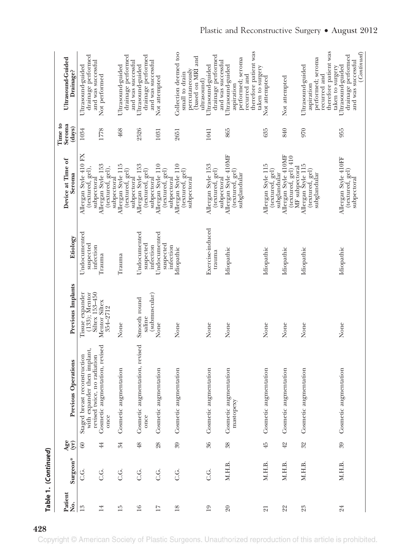| Patient<br>,<br>Ž | Surgeon* | Age<br>(vr) | Previous Operations                                                                        | Previous Implants                                     | Etiology                               | Device at Time of<br>Seroma                                                                                 | Time to<br>Seroma<br>(days) | Ultrasound-Guided<br>Drainage?                                                                                    |
|-------------------|----------|-------------|--------------------------------------------------------------------------------------------|-------------------------------------------------------|----------------------------------------|-------------------------------------------------------------------------------------------------------------|-----------------------------|-------------------------------------------------------------------------------------------------------------------|
| 13                | ن<br>ت   | $60\,$      | with expander then implant,<br>revised twice, no radiation<br>Staged breast reconstruction | Siltex 153-450<br>$(133)$ ; Mentor<br>Tissue expander | Undocumented<br>suspected<br>infection | Allergan Style 410 FX<br>(textured, gel),<br>subpectoral                                                    | 1034                        | drainage performed<br>and was successful<br>Ultrasound-guided                                                     |
| $\overline{14}$   | ن<br>ن   | 44          | Cosmetic augmentation, revised<br>once                                                     | Mentor Siltex<br>354-2712                             | Trauma                                 | Allergan Style 153<br>(textured, gel),<br>subpectoral                                                       | 1778                        | Not performed                                                                                                     |
| 15                | C.<br>C. | 34          | Cosmetic augmentation                                                                      | None                                                  | Trauma                                 | Allergan Style 115<br>(textured, gel)<br>subpectoral                                                        | 468                         | drainage performed<br>and was successful<br>Ultrasound-guided                                                     |
| $16 \,$           | C.C.     | 48          | revised<br>Cosmetic augmentation,<br>once                                                  | (submuscular)<br>Smooth round<br>saline               | Undocumented<br>suspected<br>infection | Allergan Style 153<br>(textured, gel)<br>subpectoral                                                        | 2526                        | drainage performed<br>and was successful<br>Ultrasound-guided                                                     |
| $\overline{17}$   | C.<br>C. | 28          | Cosmetic augmentation                                                                      | None                                                  | Undocumented<br>suspected<br>infection | Allergan Style 110<br>(textured, gel)<br>subpectoral                                                        | 1031                        | Not attempted                                                                                                     |
| $^{18}$           | C.G.     | 39          | Cosmetic augmentation                                                                      | None                                                  | Idiopathic                             | Allergan Style 110<br>(textured, gel)<br>subpectoral                                                        | 2651                        | Collection deemed too<br>based on MRI and<br>percutaneously<br>small to drain<br>ultrasound)                      |
| 19                | C.G.     | 36          | Cosmetic augmentation                                                                      | None                                                  | Exercise-induced<br>trauma             | Allergan Style 153<br>(textured, gel)<br>subpectoral                                                        | 1041                        | drainage performed<br>and was successful<br>Ultrasound-guided                                                     |
| $\overline{6}$    | M.H.B.   | 38          | Cosmetic augmentation<br>mastopexy                                                         | None                                                  | Idiopathic                             | Allergan Style 410MF<br>$\begin{array}{c}(\text{extract}, \, \text{gel}) \\ \text{subglandular}\end{array}$ | 865                         | therefore patient was<br>pérformed; seroma<br>Ultrasound-guided<br>recurred and<br>aspiration                     |
| $\overline{2}$    | M.H.B    | 45          | Cosmetic augmentation                                                                      | None                                                  | Idiopathic                             | Allergan Style 115<br>(textured, gel)<br>subglandular                                                       | 635                         | taken to surgery<br>Not attempted                                                                                 |
| 22                | M.H.B.   | 42          | Cosmetic augmentation                                                                      | None                                                  | Idiopathic                             | Allergan Style 410MF<br>(textured, gel) 410<br>MF subpectoral                                               | 840                         | Not attempted                                                                                                     |
| 23                | M.H.B.   | 32          | Cosmetic augmentation                                                                      | None                                                  | Idiopathic                             | Allergan Style 115<br>(textured, gel)<br>subglandular                                                       | 970                         | therefore patient was<br>performed; seroma<br>Ultrasound-guided<br>taken to surgery<br>recurred and<br>aspiration |
| 24                | M.H.B.   | 39          | Cosmetic augmentation                                                                      | None                                                  | Idiopathic                             | Allergan Style 410FF<br>(textured, gel)<br>subpectoral                                                      | 955                         | (Continued)<br>drainage performed<br>and was successful<br>Ultrasound-guided                                      |

Table 1. (Continued) **Table 1. (***Continued***)**

428<br>Copyright © American Society of Plastic Surgeons. Unauthorized reproduction of this article is prohibited.

## Plastic and Reconstructive Surgery • August 2012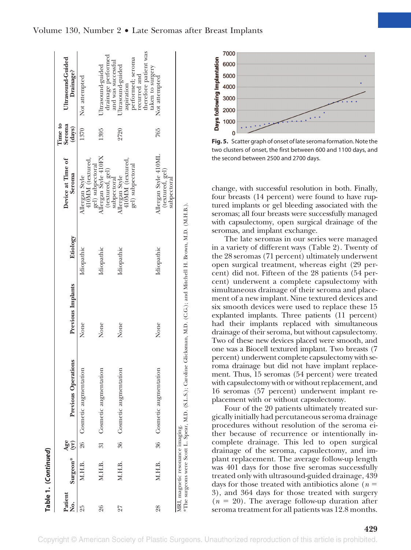|                   | Table 1. (Continued)             |                                                              |                                                               |            |                                                                            |                             |                                                                                                                   |
|-------------------|----------------------------------|--------------------------------------------------------------|---------------------------------------------------------------|------------|----------------------------------------------------------------------------|-----------------------------|-------------------------------------------------------------------------------------------------------------------|
| Patient<br>。<br>2 | Age<br>Surgeon* (yr)             | Previous Operations                                          | Previous Implants                                             | Etiology   | Device at Time of<br>Seroma                                                | Time to<br>Seroma<br>(days) | Ultrasound-Guided<br>Drainage?                                                                                    |
| 25                | M.H.B.                           | 26 Cosmetic augmentation                                     | None                                                          | Idiopathic | 410MM (textured,<br>Allergan Style                                         | 1370                        | Not attempted                                                                                                     |
| 26                | M.H.B.                           | 31 Cosmetic augmentation                                     | None                                                          | Idiopathic | gel) subpectoral<br>Allergan Style 410FX<br>(textured, gel)<br>subpectoral | 1395                        | drainage performed<br>and was successful<br>Jltrasound-guided                                                     |
| 27                | M.H.B.                           | 36 Cosmetic augmentation                                     | None                                                          | Idiopathic | Allergan Style<br>410MM (textured,<br>gel) subpectoral                     | 2720                        | therefore patient was<br>performed; seroma<br>Ultrasound-guided<br>taken to surgery<br>recurred and<br>aspiration |
| 28                | M.H.B.                           | 36 Cosmetic augmentation                                     | None                                                          | Idiopathic | Allergan Style 410ML<br>(textured, gel)<br>subpectoral                     | 765                         | Not attempted                                                                                                     |
|                   | MRI, magnetic resonance imaging. | *The surgeons were Scott L. Spear, M.D. (S.L.S.); Caroline ( | Glicksman, M.D. (C.G.); and Mitchell H. Brown, M.D. (M.H.B.). |            |                                                                            |                             |                                                                                                                   |



Fig. 5. Scatter graph of onset of late seroma formation. Note the two clusters of onset, the first between 600 and 1100 days, and the second between 2500 and 2700 days.

change, with successful resolution in both. Finally, four breasts (14 percent) were found to have ruptured implants or gel bleeding associated with the seromas; all four breasts were successfully managed with capsulectomy, open surgical drainage of the seromas, and implant exchange.

The late seromas in our series were managed in a variety of different ways (Table 2). Twenty of the 28 seromas (71 percent) ultimately underwent open surgical treatment, whereas eight (29 percent) did not. Fifteen of the 28 patients (54 percent) underwent a complete capsulectomy with simultaneous drainage of their seroma and placement of a new implant. Nine textured devices and six smooth devices were used to replace these 15 explanted implants. Three patients (11 percent) had their implants replaced with simultaneous drainage of their seroma, but without capsulectomy. Two of these new devices placed were smooth, and one was a Biocell textured implant. Two breasts (7 percent) underwent complete capsulectomy with seroma drainage but did not have implant replacement. Thus, 15 seromas (54 percent) were treated with capsulectomy with or without replacement, and 16 seromas (57 percent) underwent implant replacement with or without capsulectomy.

Four of the 20 patients ultimately treated surgically initially had percutaneous seroma drainage procedures without resolution of the seroma either because of recurrence or intentionally incomplete drainage. This led to open surgical drainage of the seroma, capsulectomy, and implant replacement. The average follow-up length was 401 days for those five seromas successfully treated only with ultrasound-guided drainage, 439 days for those treated with antibiotics alone (*n* 3), and 364 days for those treated with surgery  $(n = 20)$ . The average follow-up duration after seroma treatment for all patients was 12.8 months.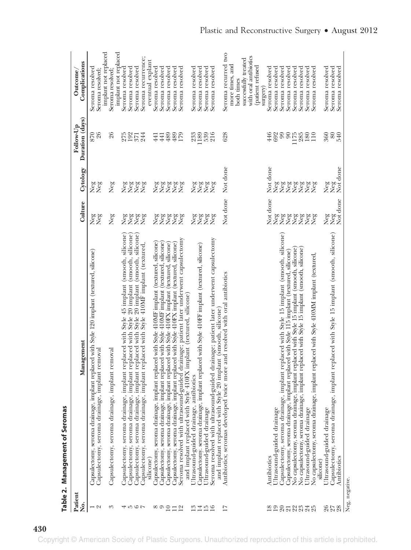| Patient<br>,<br>Ž | agement<br>Man                                                                                                                                                                                 | Culture                                                                                                                                                                                                                                                                                                                                                                                                                                                                                      | Cytology               | Duration (days)<br>Follow-Up | Complications<br>Outcome,                                                                          |
|-------------------|------------------------------------------------------------------------------------------------------------------------------------------------------------------------------------------------|----------------------------------------------------------------------------------------------------------------------------------------------------------------------------------------------------------------------------------------------------------------------------------------------------------------------------------------------------------------------------------------------------------------------------------------------------------------------------------------------|------------------------|------------------------------|----------------------------------------------------------------------------------------------------|
| $\mathbf{\Omega}$ | ed with Style 120 implant (textured, silicone)<br>Capsulectomy, seroma drainage, implant removal<br>Capsulectomy, seroma drainage, implant replac                                              | Neg<br>Neg                                                                                                                                                                                                                                                                                                                                                                                                                                                                                   | ${\rm Neg}$<br>Neg     | 26<br>870                    | Seroma resolved<br>Seroma resolved:                                                                |
| S                 | Capsulectomy, seroma drainage, implant removal                                                                                                                                                 | ${\rm Neg}$                                                                                                                                                                                                                                                                                                                                                                                                                                                                                  | Neg                    | 26                           | implant not replaced<br>Seroma resolved;                                                           |
|                   | Style 45 implant (smooth, silicone)<br>Capsulectomy, seroma drainage, implant replaced with                                                                                                    | Neg<br>Neg                                                                                                                                                                                                                                                                                                                                                                                                                                                                                   | Neg                    | 275                          | implant not replaced<br>Seroma resolved                                                            |
| まち67              | Style 20 implant (smooth, silicone)<br>Style 20 implant (smooth, silicone)<br>Capsulectomy, seroma drainage, implant replaced with<br>Capsulectomy, seroma drainage, implant replaced with     |                                                                                                                                                                                                                                                                                                                                                                                                                                                                                              | Neg                    | 192<br>371                   | Seroma resolved<br>Seroma resolved                                                                 |
|                   | Style 410MF implant (textured,<br>Capsulectomy, seroma drainage, implant replaced with                                                                                                         | peg<br>Neg                                                                                                                                                                                                                                                                                                                                                                                                                                                                                   | peg<br>Neg             | 244                          | Seroma recurrence;                                                                                 |
|                   | silicone                                                                                                                                                                                       |                                                                                                                                                                                                                                                                                                                                                                                                                                                                                              |                        | 441                          | eventual explant<br>Seroma resolved                                                                |
| ∞ ာ               | Capsulectomy, seroma drainage, implant replaced with Style 410MF implant (textured, silicone)<br>Capsulectomy, seroma drainage, implant replaced with Style 410MF implant (textured, silicone) |                                                                                                                                                                                                                                                                                                                                                                                                                                                                                              | Neg<br>Neg             | 441                          | Seroma resolved                                                                                    |
| $\overline{10}$   | Capsulectomy, seroma drainage, implant replaced with Style 410FX implant (textured, silicone)                                                                                                  |                                                                                                                                                                                                                                                                                                                                                                                                                                                                                              | peg<br>Zeg             | 489                          | Seroma resolved                                                                                    |
| 12<br>$\Box$      | Seroma resolved with ultrasound-guided drainage; patient later underwent capsulectomy<br>ed with Style 410FX implant (textured, silicone)<br>Capsulectomy, seroma drainage, implant replac     | go an an an<br>Nu an an an<br>Nu an A                                                                                                                                                                                                                                                                                                                                                                                                                                                        | ${\rm Neg}$            | 489<br>179                   | Seroma resolved<br>Seroma resolved                                                                 |
|                   | and implant replaced with Style 410FX implant (textured, silicone)                                                                                                                             |                                                                                                                                                                                                                                                                                                                                                                                                                                                                                              |                        | 233                          |                                                                                                    |
|                   | ed with Style 410FF implant (textured, silicone)<br>Ultrasound-guided drainage, antibiotics                                                                                                    |                                                                                                                                                                                                                                                                                                                                                                                                                                                                                              | ${\rm Neg}$            | 1189                         | Seroma resolved<br>Seroma resolved                                                                 |
| $\frac{33}{45}$   | Capsulectomy. seroma drainage, implant replac<br>Ultrasound-guided drainage                                                                                                                    | $\begin{array}{c} \mathbf{g}\otimes\mathbf{g}\\ \mathbf{g}\otimes\mathbf{g}\\ \mathbf{g}\otimes\mathbf{g}\\ \mathbf{g}\otimes\mathbf{g}\\ \mathbf{g}\otimes\mathbf{g}\\ \mathbf{g}\otimes\mathbf{g}\\ \mathbf{g}\otimes\mathbf{g}\\ \mathbf{g}\otimes\mathbf{g}\\ \mathbf{g}\otimes\mathbf{g}\\ \mathbf{g}\otimes\mathbf{g}\\ \mathbf{g}\otimes\mathbf{g}\\ \mathbf{g}\otimes\mathbf{g}\\ \mathbf{g}\otimes\mathbf{g}\\ \mathbf{g}\otimes\mathbf{g}\\ \mathbf{g}\otimes\mathbf{g}\\ \mathbf$ | ${\rm Neg}$            | 539                          | Seroma resolved                                                                                    |
| 16                | Seroma resolved with ultrasound-guided drainage; patient later underwent capsulectomy                                                                                                          |                                                                                                                                                                                                                                                                                                                                                                                                                                                                                              | pas<br>Neg             | 216                          | Seroma resolved                                                                                    |
| $\overline{17}$   | and resolved with oral antibiotics<br>and implant replaced with Style 20 implant (smooth, silicone)<br>Antibiotics; seromas developed twice more                                               | Not done                                                                                                                                                                                                                                                                                                                                                                                                                                                                                     | Not done               | 628                          | Seroma recurred two                                                                                |
|                   |                                                                                                                                                                                                |                                                                                                                                                                                                                                                                                                                                                                                                                                                                                              |                        |                              | with oral antibiotics<br>successfully treated<br>more times, and<br>(patient refused<br>both times |
| $\frac{8}{19}$    | Antibiotics                                                                                                                                                                                    |                                                                                                                                                                                                                                                                                                                                                                                                                                                                                              | Not done               | 446                          | Seroma resolved<br>surgery)                                                                        |
| $\overline{6}$    | Capsulectomy, seroma drainage, implant replaced with Style 15 implant (smooth, silicone)<br>Ultrasound-guided drainage                                                                         |                                                                                                                                                                                                                                                                                                                                                                                                                                                                                              | Neg<br>Neg             | 692<br>99                    | Seroma resolved<br>Seroma resolved                                                                 |
|                   | Capsulectomy, seroma drainage, implant replaced with Style 115 implant (textured, silicone)                                                                                                    |                                                                                                                                                                                                                                                                                                                                                                                                                                                                                              | $\rm Neg$              | $\infty$                     | Seroma resolved                                                                                    |
|                   | No capsulectomy, seroma drainage, implant replaced with Style 15 implant (smooth, silicone)                                                                                                    |                                                                                                                                                                                                                                                                                                                                                                                                                                                                                              | egg<br>Z2;             | 1175                         | Seroma resolved                                                                                    |
| 52335             | No capsulectomy, seroma drainage, implant replaced with Style 15 implant (smooth, silicone)<br>Ultrasound-guided drainage                                                                      |                                                                                                                                                                                                                                                                                                                                                                                                                                                                                              |                        | 285<br>180                   | Seroma resolved<br>Seroma resolved                                                                 |
|                   | No capsulectomy, seroma drainage, implant replaced with Style 410MM implant (textured,<br>silicone)                                                                                            | done<br>The Same Same<br>Same Same Same<br>Same Same Same                                                                                                                                                                                                                                                                                                                                                                                                                                    | peg<br>Neg             | 110                          | Seroma resolved                                                                                    |
| 26<br>27<br>28    | Capsulectomy, seroma drainage, implant replaced with Style 15 implant (smooth, silicone)<br>Ultrasound-guided drainage<br>Antibiotics                                                          | Neg<br>Neg<br>Not done                                                                                                                                                                                                                                                                                                                                                                                                                                                                       | Not done<br>Neg<br>Neg | 360<br>80<br>540             | Seroma resolved<br>Seroma resolved<br>Seroma resolved                                              |
| Neg, negative.    |                                                                                                                                                                                                |                                                                                                                                                                                                                                                                                                                                                                                                                                                                                              |                        |                              |                                                                                                    |

Table 2. Management of Seromas **Table 2. Management of Seromas**

Plastic and Reconstructive Surgery • August 2012

430<br>Copyright © American Society of Plastic Surgeons. Unauthorized reproduction of this article is prohibited.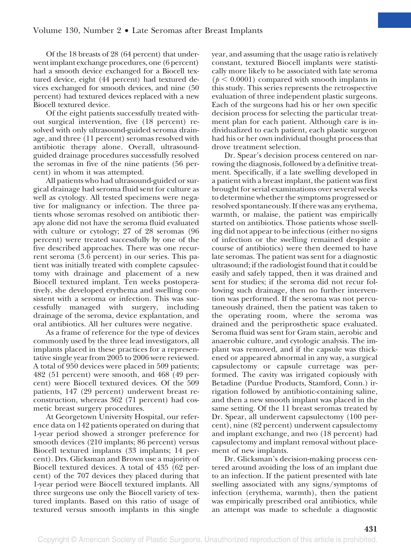Of the 18 breasts of 28 (64 percent) that underwent implant exchange procedures, one (6 percent) had a smooth device exchanged for a Biocell textured device, eight (44 percent) had textured devices exchanged for smooth devices, and nine (50 percent) had textured devices replaced with a new Biocell textured device.

Of the eight patients successfully treated without surgical intervention, five (18 percent) resolved with only ultrasound-guided seroma drainage, and three (11 percent) seromas resolved with antibiotic therapy alone. Overall, ultrasoundguided drainage procedures successfully resolved the seromas in five of the nine patients (56 percent) in whom it was attempted.

All patients who had ultrasound-guided or surgical drainage had seroma fluid sent for culture as well as cytology. All tested specimens were negative for malignancy or infection. The three patients whose seromas resolved on antibiotic therapy alone did not have the seroma fluid evaluated with culture or cytology; 27 of 28 seromas (96 percent) were treated successfully by one of the five described approaches. There was one recurrent seroma (3.6 percent) in our series. This patient was initially treated with complete capsulectomy with drainage and placement of a new Biocell textured implant. Ten weeks postoperatively, she developed erythema and swelling consistent with a seroma or infection. This was successfully managed with surgery, including drainage of the seroma, device explantation, and oral antibiotics. All her cultures were negative.

As a frame of reference for the type of devices commonly used by the three lead investigators, all implants placed in these practices for a representative single year from 2005 to 2006 were reviewed. A total of 950 devices were placed in 509 patients; 482 (51 percent) were smooth, and 468 (49 percent) were Biocell textured devices. Of the 509 patients, 147 (29 percent) underwent breast reconstruction, whereas 362 (71 percent) had cosmetic breast surgery procedures.

At Georgetown University Hospital, our reference data on 142 patients operated on during that 1-year period showed a stronger preference for smooth devices (210 implants; 86 percent) versus Biocell textured implants (33 implants; 14 percent). Drs. Glicksman and Brown use a majority of Biocell textured devices. A total of 435 (62 percent) of the 707 devices they placed during that 1-year period were Biocell textured implants. All three surgeons use only the Biocell variety of textured implants. Based on this ratio of usage of textured versus smooth implants in this single year, and assuming that the usage ratio is relatively constant, textured Biocell implants were statistically more likely to be associated with late seroma  $(p < 0.0001)$  compared with smooth implants in this study. This series represents the retrospective evaluation of three independent plastic surgeons. Each of the surgeons had his or her own specific decision process for selecting the particular treatment plan for each patient. Although care is individualized to each patient, each plastic surgeon had his or her own individual thought process that drove treatment selection.

Dr. Spear's decision process centered on narrowing the diagnosis, followed by a definitive treatment. Specifically, if a late swelling developed in a patient with a breast implant, the patient was first brought for serial examinations over several weeks to determine whether the symptoms progressed or resolved spontaneously. If there was any erythema, warmth, or malaise, the patient was empirically started on antibiotics. Those patients whose swelling did not appear to be infectious (either no signs of infection or the swelling remained despite a course of antibiotics) were then deemed to have late seromas. The patient was sent for a diagnostic ultrasound; if the radiologist found that it could be easily and safely tapped, then it was drained and sent for studies; if the seroma did not recur following such drainage, then no further intervention was performed. If the seroma was not percutaneously drained, then the patient was taken to the operating room, where the seroma was drained and the periprosthetic space evaluated. Seroma fluid was sent for Gram stain, aerobic and anaerobic culture, and cytologic analysis. The implant was removed, and if the capsule was thickened or appeared abnormal in any way, a surgical capsulectomy or capsule curretage was performed. The cavity was irrigated copiously with Betadine (Purdue Products, Stamford, Conn.) irrigation followed by antibiotic-containing saline, and then a new smooth implant was placed in the same setting. Of the 11 breast seromas treated by Dr. Spear, all underwent capsulectomy (100 percent), nine (82 percent) underwent capsulectomy and implant exchange, and two (18 percent) had capsulectomy and implant removal without placement of new implants.

Dr. Glicksman's decision-making process centered around avoiding the loss of an implant due to an infection. If the patient presented with late swelling associated with any signs/symptoms of infection (erythema, warmth), then the patient was empirically prescribed oral antibiotics, while an attempt was made to schedule a diagnostic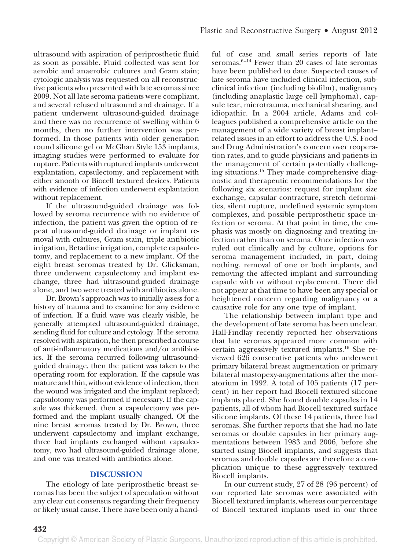ultrasound with aspiration of periprosthetic fluid as soon as possible. Fluid collected was sent for aerobic and anaerobic cultures and Gram stain; cytologic analysis was requested on all reconstructive patients who presented with late seromas since 2009. Not all late seroma patients were compliant, and several refused ultrasound and drainage. If a patient underwent ultrasound-guided drainage and there was no recurrence of swelling within 6 months, then no further intervention was performed. In those patients with older generation round silicone gel or McGhan Style 153 implants, imaging studies were performed to evaluate for rupture. Patients with ruptured implants underwent explantation, capsulectomy, and replacement with either smooth or Biocell textured devices. Patients with evidence of infection underwent explantation without replacement.

If the ultrasound-guided drainage was followed by seroma recurrence with no evidence of infection, the patient was given the option of repeat ultrasound-guided drainage or implant removal with cultures, Gram stain, triple antibiotic irrigation, Betadine irrigation, complete capsulectomy, and replacement to a new implant. Of the eight breast seromas treated by Dr. Glicksman, three underwent capsulectomy and implant exchange, three had ultrasound-guided drainage alone, and two were treated with antibiotics alone.

Dr. Brown's approach was to initially assess for a history of trauma and to examine for any evidence of infection. If a fluid wave was clearly visible, he generally attempted ultrasound-guided drainage, sending fluid for culture and cytology. If the seroma resolved with aspiration, he then prescribed a course of anti-inflammatory medications and/or antibiotics. If the seroma recurred following ultrasoundguided drainage, then the patient was taken to the operating room for exploration. If the capsule was mature and thin, without evidence of infection, then the wound was irrigated and the implant replaced; capsulotomy was performed if necessary. If the capsule was thickened, then a capsulectomy was performed and the implant usually changed. Of the nine breast seromas treated by Dr. Brown, three underwent capsulectomy and implant exchange, three had implants exchanged without capsulectomy, two had ultrasound-guided drainage alone, and one was treated with antibiotics alone.

#### **DISCUSSION**

The etiology of late periprosthetic breast seromas has been the subject of speculation without any clear cut consensus regarding their frequency or likely usual cause. There have been only a handful of case and small series reports of late seromas. $6-14$  Fewer than 20 cases of late seromas have been published to date. Suspected causes of late seroma have included clinical infection, subclinical infection (including biofilm), malignancy (including anaplastic large cell lymphoma), capsule tear, microtrauma, mechanical shearing, and idiopathic. In a 2004 article, Adams and colleagues published a comprehensive article on the management of a wide variety of breast implant– related issues in an effort to address the U.S. Food and Drug Administration's concern over reoperation rates, and to guide physicians and patients in the management of certain potentially challenging situations.15 They made comprehensive diagnostic and therapeutic recommendations for the following six scenarios: request for implant size exchange, capsular contracture, stretch deformities, silent rupture, undefined systemic symptom complexes, and possible periprosthetic space infection or seroma. At that point in time, the emphasis was mostly on diagnosing and treating infection rather than on seroma. Once infection was ruled out clinically and by culture, options for seroma management included, in part, doing nothing, removal of one or both implants, and removing the affected implant and surrounding capsule with or without replacement. There did not appear at that time to have been any special or heightened concern regarding malignancy or a causative role for any one type of implant.

The relationship between implant type and the development of late seroma has been unclear. Hall-Findlay recently reported her observations that late seromas appeared more common with certain aggressively textured implants.16 She reviewed 626 consecutive patients who underwent primary bilateral breast augmentation or primary bilateral mastopexy-augmentations after the moratorium in 1992. A total of 105 patients (17 percent) in her report had Biocell textured silicone implants placed. She found double capsules in 14 patients, all of whom had Biocell textured surface silicone implants. Of these 14 patients, three had seromas. She further reports that she had no late seromas or double capsules in her primary augmentations between 1983 and 2006, before she started using Biocell implants, and suggests that seromas and double capsules are therefore a complication unique to these aggressively textured Biocell implants.

In our current study, 27 of 28 (96 percent) of our reported late seromas were associated with Biocell textured implants, whereas our percentage of Biocell textured implants used in our three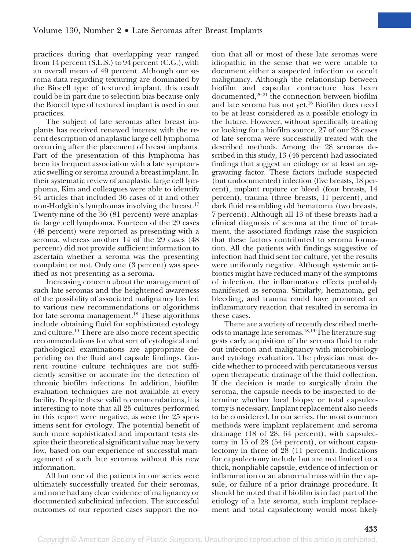practices during that overlapping year ranged from 14 percent (S.L.S.) to 94 percent (C.G.), with an overall mean of 49 percent. Although our seroma data regarding texturing are dominated by the Biocell type of textured implant, this result could be in part due to selection bias because only the Biocell type of textured implant is used in our practices.

The subject of late seromas after breast implants has received renewed interest with the recent description of anaplastic large cell lymphoma occurring after the placement of breast implants. Part of the presentation of this lymphoma has been its frequent association with a late symptomatic swelling or seroma around a breast implant. In their systematic review of anaplastic large cell lymphoma, Kim and colleagues were able to identify 34 articles that included 36 cases of it and other non-Hodgkin's lymphomas involving the breast.17 Twenty-nine of the 36 (81 percent) were anaplastic large cell lymphoma. Fourteen of the 29 cases (48 percent) were reported as presenting with a seroma, whereas another 14 of the 29 cases (48 percent) did not provide sufficient information to ascertain whether a seroma was the presenting complaint or not. Only one (3 percent) was specified as not presenting as a seroma.

Increasing concern about the management of such late seromas and the heightened awareness of the possibility of associated malignancy has led to various new recommendations or algorithms for late seroma management.18 These algorithms include obtaining fluid for sophisticated cytology and culture.19 There are also more recent specific recommendations for what sort of cytological and pathological examinations are appropriate depending on the fluid and capsule findings. Current routine culture techniques are not sufficiently sensitive or accurate for the detection of chronic biofilm infections. In addition, biofilm evaluation techniques are not available at every facility. Despite these valid recommendations, it is interesting to note that all 25 cultures performed in this report were negative, as were the 25 specimens sent for cytology. The potential benefit of such more sophisticated and important tests despite their theoretical significant value may be very low, based on our experience of successful management of such late seromas without this new information.

All but one of the patients in our series were ultimately successfully treated for their seromas, and none had any clear evidence of malignancy or documented subclinical infection. The successful outcomes of our reported cases support the notion that all or most of these late seromas were idiopathic in the sense that we were unable to document either a suspected infection or occult malignancy. Although the relationship between biofilm and capsular contracture has been documented,20,21 the connection between biofilm and late seroma has not yet.<sup>16</sup> Biofilm does need to be at least considered as a possible etiology in the future. However, without specifically treating or looking for a biofilm source, 27 of our 28 cases of late seroma were successfully treated with the described methods. Among the 28 seromas described in this study, 13 (46 percent) had associated findings that suggest an etiology or at least an aggravating factor. These factors include suspected (but undocumented) infection (five breasts, 18 percent), implant rupture or bleed (four breasts, 14 percent), trauma (three breasts, 11 percent), and dark fluid resembling old hematoma (two breasts, 7 percent). Although all 13 of these breasts had a clinical diagnosis of seroma at the time of treatment, the associated findings raise the suspicion that these factors contributed to seroma formation. All the patients with findings suggestive of infection had fluid sent for culture, yet the results were uniformly negative. Although systemic antibiotics might have reduced many of the symptoms of infection, the inflammatory effects probably manifested as seroma. Similarly, hematoma, gel bleeding, and trauma could have promoted an inflammatory reaction that resulted in seroma in these cases.

There are a variety of recently described methods to manage late seromas.<sup>18,19</sup> The literature suggests early acquisition of the seroma fluid to rule out infection and malignancy with microbiology and cytology evaluation. The physician must decide whether to proceed with percutaneous versus open therapeutic drainage of the fluid collection. If the decision is made to surgically drain the seroma, the capsule needs to be inspected to determine whether local biopsy or total capsulectomy is necessary. Implant replacement also needs to be considered. In our series, the most common methods were implant replacement and seroma drainage (18 of 28, 64 percent), with capsulectomy in 15 of 28 (54 percent), or without capsulectomy in three of 28 (11 percent). Indications for capsulectomy include but are not limited to a thick, nonpliable capsule, evidence of infection or inflammation or an abnormal mass within the capsule, or failure of a prior drainage procedure. It should be noted that if biofilm is in fact part of the etiology of a late seroma, such implant replacement and total capsulectomy would most likely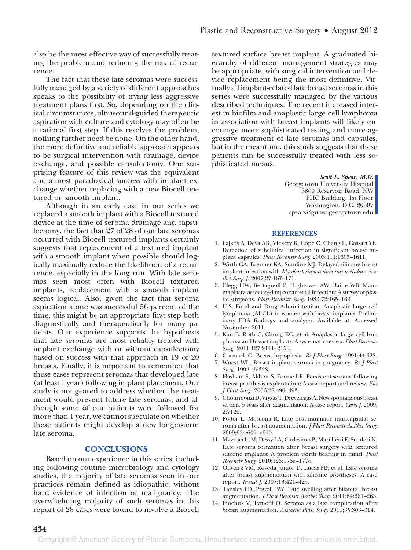also be the most effective way of successfully treating the problem and reducing the risk of recurrence.

The fact that these late seromas were successfully managed by a variety of different approaches speaks to the possibility of trying less aggressive treatment plans first. So, depending on the clinical circumstances, ultrasound-guided therapeutic aspiration with culture and cytology may often be a rational first step. If this resolves the problem, nothing further need be done. On the other hand, the more definitive and reliable approach appears to be surgical intervention with drainage, device exchange, and possible capsulectomy. One surprising feature of this review was the equivalent and almost paradoxical success with implant exchange whether replacing with a new Biocell textured or smooth implant.

Although in an early case in our series we replaced a smooth implant with a Biocell textured device at the time of seroma drainage and capsulectomy, the fact that 27 of 28 of our late seromas occurred with Biocell textured implants certainly suggests that replacement of a textured implant with a smooth implant when possible should logically maximally reduce the likelihood of a recurrence, especially in the long run. With late seromas seen most often with Biocell textured implants, replacement with a smooth implant seems logical. Also, given the fact that seroma aspiration alone was successful 56 percent of the time, this might be an appropriate first step both diagnostically and therapeutically for many patients. Our experience supports the hypothesis that late seromas are most reliably treated with implant exchange with or without capsulectomy based on success with that approach in 19 of 20 breasts. Finally, it is important to remember that these cases represent seromas that developed late (at least 1 year) following implant placement. Our study is not geared to address whether the treatment would prevent future late seromas, and although some of our patients were followed for more than 1 year, we cannot speculate on whether these patients might develop a new longer-term late seroma.

#### **CONCLUSIONS**

Based on our experience in this series, including following routine microbiology and cytology studies, the majority of late seromas seen in our practices remain defined as idiopathic, without hard evidence of infection or malignancy. The overwhelming majority of such seromas in this report of 28 cases were found to involve a Biocell

textured surface breast implant. A graduated hierarchy of different management strategies may be appropriate, with surgical intervention and device replacement being the most definitive. Virtually all implant-related late breast seromas in this series were successfully managed by the various described techniques. The recent increased interest in biofilm and anaplastic large cell lymphoma in association with breast implants will likely encourage more sophisticated testing and more aggressive treatment of late seromas and capsules, but in the meantime, this study suggests that these patients can be successfully treated with less sophisticated means.

#### *Scott L. Spear, M.D.*

Georgetown University Hospital 3800 Reservoir Road, NW PHC Building, 1st Floor Washington, D.C. 20007 spears@gunet.georgetown.edu

#### **REFERENCES**

- 1. Pajkos A, Deva AK, Vickery K, Cope C, Chang L, Cossart YE. Detection of subclinical infection in significant breast implant capsules. *Plast Reconstr Surg.* 2003;111:1605–1611.
- 2. Wirth GA, Brenner KA, Sundine MJ. Delayed silicone breast implant infection with *Mycobacterium avium-intracellulare*. *Aesthet Surg J.* 2007;27:167–171.
- 3. Clegg HW, Bertagnoll P, Hightower AW, Baine WB. Mammaplasty- associated mycobacterial infection: A survey of plastic surgeons. *Plast Reconstr Surg.* 1983;72:165–169.
- 4. U.S. Food and Drug Administration. Anaplastic large cell lymphoma (ALCL) in women with breast implants: Preliminary FDA findings and analyses. Available at: Accessed November 2011.
- 5. Kim B, Roth C, Chung KC, et al. Anaplastic large cell lymphoma and breast implants: A systematic review. *Plast Reconstr Surg.* 2011;127:2141–2150.
- 6. Cormack G. Breast hypoplasia. *Br J Plast Surg.* 1991;44:628.
- 7. Wuest WL. Breast implant seroma in pregnancy. *Br J Plast Surg.* 1992;45:328.
- 8. Hasham S, Akhtar S, Fourie LR. Persistent seroma following breast prosthesis explantation: A case report and review. *Eur J Plast Surg.* 2006;28:490–493.
- 9. Chourmouzi D, Vryzas T, Drevelegas A. New spontaneous breast seroma 5 years after augmentation: A case report. *Cases J.* 2009; 2:7126.
- 10. Fodor L, Moscona R. Late post-traumatic intracapsular seroma after breast augmentation. *J Plast Reconstr Aesthet Surg.* 2009;62:e609–e610.
- 11. Mazzocchi M, Dessy LA, Carlesimo B, Marchetti F, Scuderi N. Late seroma formation after breast surgery with textured silicone implants: A problem worth bearing in mind. *Plast Reconstr Surg.* 2010;125:176e–177e.
- 12. Oliveira VM, Roveda Junior D, Lucas FB, et al. Late seroma after breast augmentation with silicone prostheses: A case report. *Breast J.* 2007;13:421–423.
- 13. Tansley PD, Powell BW. Late swelling after bilateral breast augmentation. *J Plast Reconstr Aesthet Surg.* 2011;64:261–263.
- 14. Pinchuk V, Tymofii O. Seroma as a late complication after breast augmentation. *Aesthetic Plast Surg.* 2011;35:303–314.